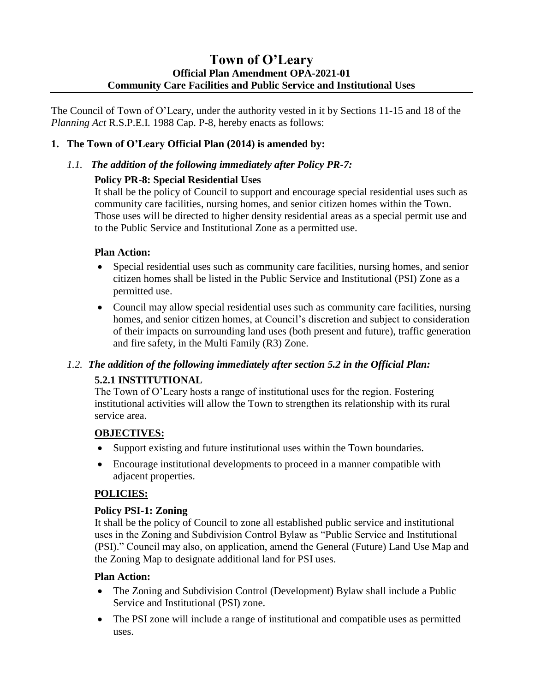# **Town of O'Leary Official Plan Amendment OPA-2021-01 Community Care Facilities and Public Service and Institutional Uses**

The Council of Town of O'Leary, under the authority vested in it by Sections 11-15 and 18 of the *Planning Act* R.S.P.E.I. 1988 Cap. P-8, hereby enacts as follows:

#### **1. The Town of O'Leary Official Plan (2014) is amended by:**

#### *1.1. The addition of the following immediately after Policy PR-7:*

#### **Policy PR-8: Special Residential Uses**

It shall be the policy of Council to support and encourage special residential uses such as community care facilities, nursing homes, and senior citizen homes within the Town. Those uses will be directed to higher density residential areas as a special permit use and to the Public Service and Institutional Zone as a permitted use.

#### **Plan Action:**

- Special residential uses such as community care facilities, nursing homes, and senior citizen homes shall be listed in the Public Service and Institutional (PSI) Zone as a permitted use.
- Council may allow special residential uses such as community care facilities, nursing homes, and senior citizen homes, at Council's discretion and subject to consideration of their impacts on surrounding land uses (both present and future), traffic generation and fire safety, in the Multi Family (R3) Zone.

# *1.2. The addition of the following immediately after section 5.2 in the Official Plan:* **5.2.1 INSTITUTIONAL**

The Town of O'Leary hosts a range of institutional uses for the region. Fostering institutional activities will allow the Town to strengthen its relationship with its rural service area.

## **OBJECTIVES:**

- Support existing and future institutional uses within the Town boundaries.
- Encourage institutional developments to proceed in a manner compatible with adjacent properties.

## **POLICIES:**

#### **Policy PSI-1: Zoning**

It shall be the policy of Council to zone all established public service and institutional uses in the Zoning and Subdivision Control Bylaw as "Public Service and Institutional (PSI)." Council may also, on application, amend the General (Future) Land Use Map and the Zoning Map to designate additional land for PSI uses.

#### **Plan Action:**

- The Zoning and Subdivision Control (Development) Bylaw shall include a Public Service and Institutional (PSI) zone.
- The PSI zone will include a range of institutional and compatible uses as permitted uses.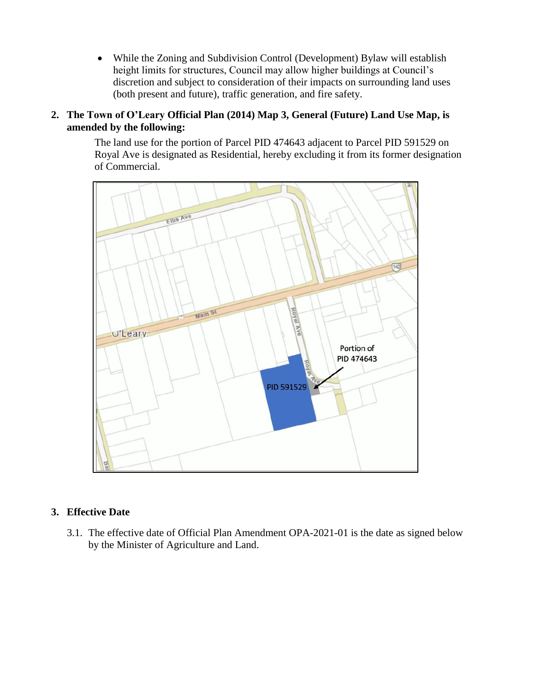While the Zoning and Subdivision Control (Development) Bylaw will establish height limits for structures, Council may allow higher buildings at Council's discretion and subject to consideration of their impacts on surrounding land uses (both present and future), traffic generation, and fire safety.

#### **2. The Town of O'Leary Official Plan (2014) Map 3, General (Future) Land Use Map, is amended by the following:**

The land use for the portion of Parcel PID 474643 adjacent to Parcel PID 591529 on Royal Ave is designated as Residential, hereby excluding it from its former designation of Commercial.



#### **3. Effective Date**

3.1. The effective date of Official Plan Amendment OPA-2021-01 is the date as signed below by the Minister of Agriculture and Land.